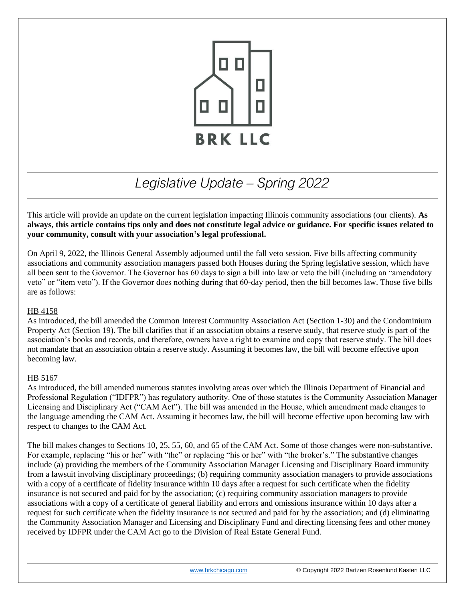

# *Legislative Update – Spring 2022*

This article will provide an update on the current legislation impacting Illinois community associations (our clients). **As always, this article contains tips only and does not constitute legal advice or guidance. For specific issues related to your community, consult with your association's legal professional.** 

On April 9, 2022, the Illinois General Assembly adjourned until the fall veto session. Five bills affecting community associations and community association managers passed both Houses during the Spring legislative session, which have all been sent to the Governor. The Governor has 60 days to sign a bill into law or veto the bill (including an "amendatory veto" or "item veto"). If the Governor does nothing during that 60-day period, then the bill becomes law. Those five bills are as follows:

## HB 4158

As introduced, the bill amended the Common Interest Community Association Act (Section 1-30) and the Condominium Property Act (Section 19). The bill clarifies that if an association obtains a reserve study, that reserve study is part of the association's books and records, and therefore, owners have a right to examine and copy that reserve study. The bill does not mandate that an association obtain a reserve study. Assuming it becomes law, the bill will become effective upon becoming law.

# HB 5167

As introduced, the bill amended numerous statutes involving areas over which the Illinois Department of Financial and Professional Regulation ("IDFPR") has regulatory authority. One of those statutes is the Community Association Manager Licensing and Disciplinary Act ("CAM Act"). The bill was amended in the House, which amendment made changes to the language amending the CAM Act. Assuming it becomes law, the bill will become effective upon becoming law with respect to changes to the CAM Act.

The bill makes changes to Sections 10, 25, 55, 60, and 65 of the CAM Act. Some of those changes were non-substantive. For example, replacing "his or her" with "the" or replacing "his or her" with "the broker's." The substantive changes include (a) providing the members of the Community Association Manager Licensing and Disciplinary Board immunity from a lawsuit involving disciplinary proceedings; (b) requiring community association managers to provide associations with a copy of a certificate of fidelity insurance within 10 days after a request for such certificate when the fidelity insurance is not secured and paid for by the association; (c) requiring community association managers to provide associations with a copy of a certificate of general liability and errors and omissions insurance within 10 days after a request for such certificate when the fidelity insurance is not secured and paid for by the association; and (d) eliminating the Community Association Manager and Licensing and Disciplinary Fund and directing licensing fees and other money received by IDFPR under the CAM Act go to the Division of Real Estate General Fund.